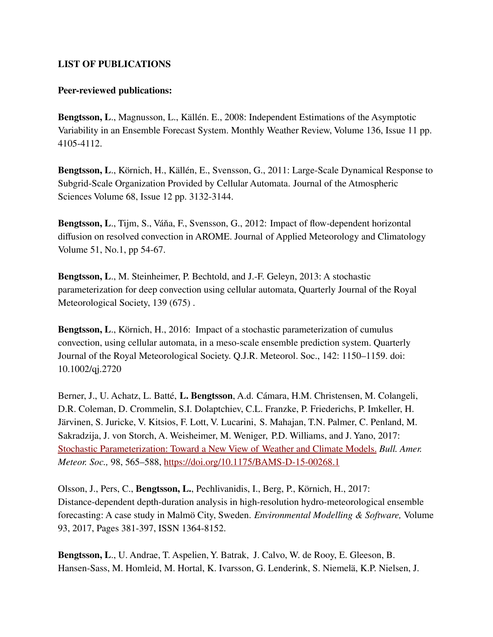## **LIST OF PUBLICATIONS**

## **Peer-reviewed publications:**

**Bengtsson, L**., Magnusson, L., Källén. E., 2008: Independent Estimations of the Asymptotic Variability in an Ensemble Forecast System. Monthly Weather Review, Volume 136, Issue 11 pp. 4105-4112.

**Bengtsson, L**., Körnich, H., Källén, E., Svensson, G., 2011: Large-Scale Dynamical Response to Subgrid-Scale Organization Provided by Cellular Automata. Journal of the Atmospheric Sciences Volume 68, Issue 12 pp. 3132-3144.

**Bengtsson, L**., Tijm, S., Váňa, F., Svensson, G., 2012: Impact of flow-dependent horizontal diffusion on resolved convection in AROME. Journal of Applied Meteorology and Climatology Volume 51, No.1, pp 54-67.

**Bengtsson, L**., M. Steinheimer, P. Bechtold, and J.-F. Geleyn, 2013: A stochastic parameterization for deep convection using cellular automata, Quarterly Journal of the Royal Meteorological Society, 139 (675) .

**Bengtsson, L**., Körnich, H., 2016: Impact of a stochastic parameterization of cumulus convection, using cellular automata, in a meso-scale ensemble prediction system. Quarterly Journal of the Royal Meteorological Society. Q.J.R. Meteorol. Soc., 142: 1150–1159. doi: 10.1002/qj.2720

Berner, J., U. Achatz, L. Batté, **L. Bengtsson**, A.d. Cámara, H.M. Christensen, M. Colangeli, D.R. Coleman, D. Crommelin, S.I. Dolaptchiev, C.L. Franzke, P. Friederichs, P. Imkeller, H. Järvinen, S. Juricke, V. Kitsios, F. Lott, V. Lucarini, S. Mahajan, T.N. Palmer, C. Penland, M. Sakradzija, J. von Storch, A. Weisheimer, M. Weniger, P.D. Williams, and J. Yano, 2017: Stochastic [Parameterization:](https://journals.ametsoc.org/doi/abs/10.1175/BAMS-D-15-00268.1) Toward a New View of Weather and Climate Models. *Bull. Amer. Meteor. Soc.,* 98, 565–588, <https://doi.org/10.1175/BAMS-D-15-00268.1>

Olsson, J., Pers, C., **Bengtsson, L.**, Pechlivanidis, I., Berg, P., Körnich, H., 2017: Distance-dependent depth-duration analysis in high-resolution hydro-meteorological ensemble forecasting: A case study in Malmö City, Sweden. *Environmental Modelling & Software,* Volume 93, 2017, Pages 381-397, ISSN 1364-8152.

**Bengtsson, L**., U. Andrae, T. Aspelien, Y. Batrak, J. Calvo, W. de Rooy, E. Gleeson, B. Hansen-Sass, M. Homleid, M. Hortal, K. Ivarsson, G. Lenderink, S. Niemelä, K.P. Nielsen, J.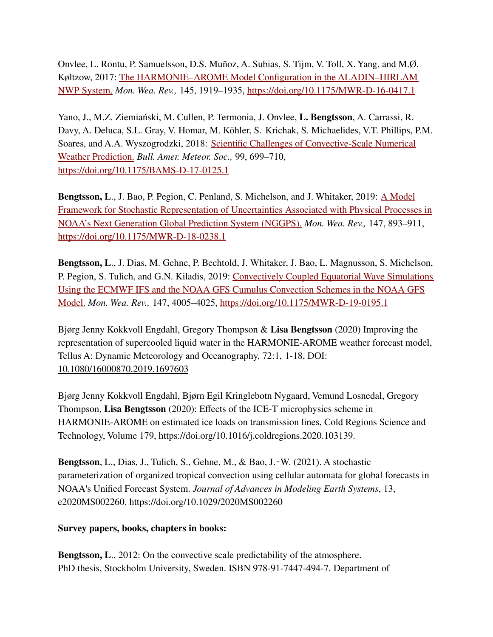Onvlee, L. Rontu, P. Samuelsson, D.S. Muñoz, A. Subias, S. Tijm, V. Toll, X. Yang, and M.Ø. Køltzow, 2017: The [HARMONIE–AROME](https://journals.ametsoc.org/doi/abs/10.1175/MWR-D-16-0417.1) Model Configuration in the ALADIN–HIRLAM NWP [System.](https://journals.ametsoc.org/doi/abs/10.1175/MWR-D-16-0417.1) *Mon. Wea. Rev.,* 145, 1919–1935, <https://doi.org/10.1175/MWR-D-16-0417.1>

Yano, J., M.Z. Ziemiański, M. Cullen, P. Termonia, J. Onvlee, **L. Bengtsson**, A. Carrassi, R. Davy, A. Deluca, S.L. Gray, V. Homar, M. Köhler, S. Krichak, S. Michaelides, V.T. Phillips, P.M. Soares, and A.A. Wyszogrodzki, 2018: Scientific Challenges of [Convective-Scale](https://journals.ametsoc.org/doi/abs/10.1175/BAMS-D-17-0125.1) Numerical Weather [Prediction.](https://journals.ametsoc.org/doi/abs/10.1175/BAMS-D-17-0125.1) *Bull. Amer. Meteor. Soc.,* 99, 699–710, <https://doi.org/10.1175/BAMS-D-17-0125.1>

Bengtsson, L., J. Bao, P. Pegion, C. Penland, S. Michelson, and J. Whitaker, 2019: A [Model](https://journals.ametsoc.org/doi/abs/10.1175/MWR-D-18-0238.1) Framework for Stochastic [Representation of Uncertainties](https://journals.ametsoc.org/doi/abs/10.1175/MWR-D-18-0238.1) Associated with Physical Processes in NOAA's Next Generation Global [Prediction System](https://journals.ametsoc.org/doi/abs/10.1175/MWR-D-18-0238.1) (NGGPS). *Mon. Wea. Rev.,* 147, 893–911, <https://doi.org/10.1175/MWR-D-18-0238.1>

**Bengtsson, L**., J. Dias, M. Gehne, P. Bechtold, J. Whitaker, J. Bao, L. Magnusson, S. Michelson, P. Pegion, S. Tulich, and G.N. Kiladis, 2019: [Convectively](https://journals.ametsoc.org/doi/abs/10.1175/MWR-D-19-0195.1) Coupled Equatorial Wave Simulations Using the ECMWF IFS and the NOAA [GFS Cumulus Convection](https://journals.ametsoc.org/doi/abs/10.1175/MWR-D-19-0195.1) Schemes in the NOAA GFS [Model.](https://journals.ametsoc.org/doi/abs/10.1175/MWR-D-19-0195.1) *Mon. Wea. Rev.,* 147, 4005–4025, <https://doi.org/10.1175/MWR-D-19-0195.1>

Bjørg Jenny Kokkvoll Engdahl, Gregory Thompson & **Lisa Bengtsson** (2020) Improving the representation of supercooled liquid water in the HARMONIE-AROME weather forecast model, Tellus A: Dynamic Meteorology and Oceanography, 72:1, 1-18, DOI: [10.1080/16000870.2019.1697603](https://doi.org/10.1080/16000870.2019.1697603)

Bjørg Jenny Kokkvoll Engdahl, Bjørn Egil Kringlebotn Nygaard, Vemund Losnedal, Gregory Thompson, **Lisa Bengtsson** (2020): Effects of the ICE-T microphysics scheme in HARMONIE-AROME on estimated ice loads on transmission lines, Cold Regions Science and Technology, Volume 179, https://doi.org/10.1016/j.coldregions.2020.103139.

**Bengtsson**, L., Dias, J., Tulich, S., Gehne, M., & Bao, J.‐W. (2021). A stochastic parameterization of organized tropical convection using cellular automata for global forecasts in NOAA's Unified Forecast System. *Journal of Advances in Modeling Earth Systems*, 13, e2020MS002260. <https://doi.org/10.1029/2020MS002260>

## **Survey papers, books, chapters in books:**

**Bengtsson, L**., 2012: On the convective scale predictability of the atmosphere. PhD thesis, Stockholm University, Sweden. ISBN 978-91-7447-494-7. Department of